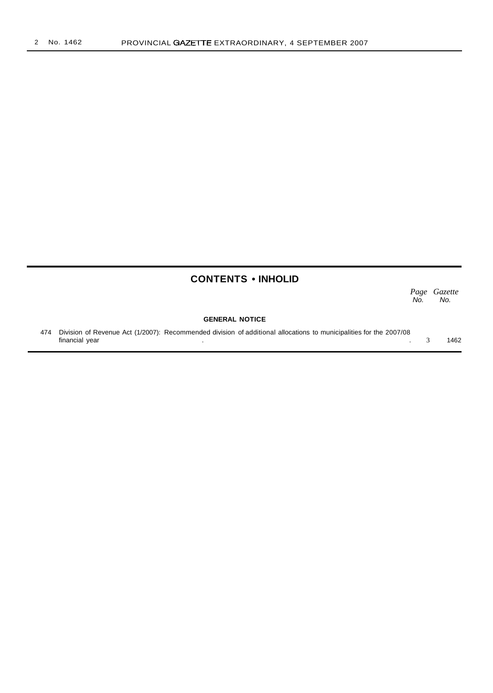## **CONTENTS • INHOLID**

*Page Gazette* No. No.

#### **GENERAL NOTICE**

474 Division of Revenue Act (1/2007): Recommended division of additional allocations to municipalities for the 2007/08 financial year . . 3 1462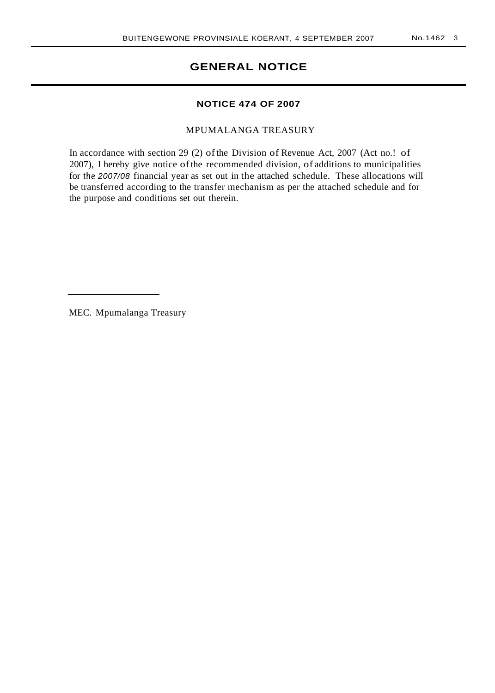## **GENERAL NOTICE**

#### **NOTICE 474 OF 2007**

MPUMALANGA TREASURY

In accordance with section 29 (2) of the Division of Revenue Act, 2007 (Act no.! of 2007), I hereby give notice ofthe recommended division, of additions to municipalities for the 2007/08 financial year as set out in the attached schedule. These allocations will be transferred according to the transfer mechanism as per the attached schedule and for the purpose and conditions set out therein.

MEC. Mpumalanga Treasury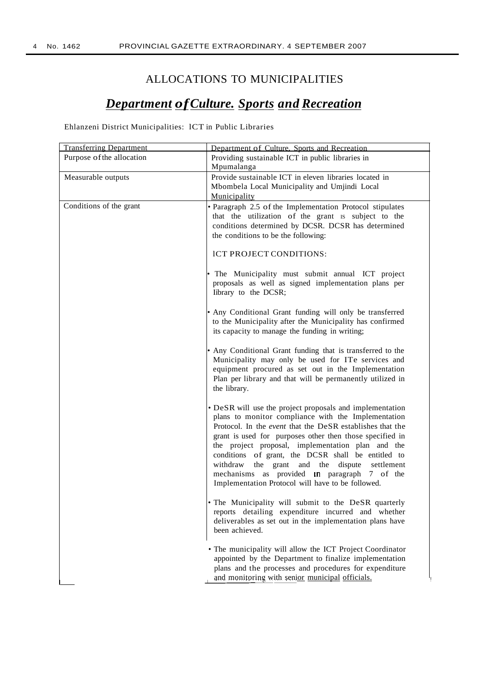## ALLOCATIONS TO MUNICIPALITIES

# *Department ofCulture. Sports and Recreation*

Ehlanzeni District Municipalities: lCT in Public Libraries

| <b>Transferring Department</b> | Department of Culture, Sports and Recreation                                                                                                                                                                                                                                                                                                                                                                                                                                                                                        |  |  |  |  |
|--------------------------------|-------------------------------------------------------------------------------------------------------------------------------------------------------------------------------------------------------------------------------------------------------------------------------------------------------------------------------------------------------------------------------------------------------------------------------------------------------------------------------------------------------------------------------------|--|--|--|--|
| Purpose of the allocation      | Providing sustainable ICT in public libraries in<br>Mpumalanga                                                                                                                                                                                                                                                                                                                                                                                                                                                                      |  |  |  |  |
| Measurable outputs             | Provide sustainable ICT in eleven libraries located in<br>Mbombela Local Municipality and Umjindi Local<br>Municipality                                                                                                                                                                                                                                                                                                                                                                                                             |  |  |  |  |
| Conditions of the grant        | • Paragraph 2.5 of the Implementation Protocol stipulates<br>that the utilization of the grant is subject to the<br>conditions determined by DCSR. DCSR has determined<br>the conditions to be the following:                                                                                                                                                                                                                                                                                                                       |  |  |  |  |
|                                | ICT PROJECT CONDITIONS:                                                                                                                                                                                                                                                                                                                                                                                                                                                                                                             |  |  |  |  |
|                                | The Municipality must submit annual ICT project<br>proposals as well as signed implementation plans per<br>Iibrary to the DCSR;                                                                                                                                                                                                                                                                                                                                                                                                     |  |  |  |  |
|                                | • Any Conditional Grant funding will only be transferred<br>to the Municipality after the Municipality has confirmed<br>its capacity to manage the funding in writing;                                                                                                                                                                                                                                                                                                                                                              |  |  |  |  |
|                                | • Any Conditional Grant funding that is transferred to the<br>Municipality may only be used for ITe services and<br>equipment procured as set out in the Implementation<br>Plan per library and that will be permanently utilized in<br>the library.                                                                                                                                                                                                                                                                                |  |  |  |  |
|                                | • DeSR will use the project proposals and implementation<br>plans to monitor compliance with the Implementation<br>Protocol. In the <i>event</i> that the DeSR establishes that the<br>grant is used for purposes other then those specified in<br>the project proposal, implementation plan and the<br>conditions of grant, the DCSR shall be entitled to<br>withdraw<br>the grant<br>and the<br>dispute<br>settlement<br>mechanisms as provided <b>In</b> paragraph 7 of the<br>Implementation Protocol will have to be followed. |  |  |  |  |
|                                | • The Municipality will submit to the DeSR quarterly<br>reports detailing expenditure incurred and whether<br>deliverables as set out in the implementation plans have<br>been achieved.                                                                                                                                                                                                                                                                                                                                            |  |  |  |  |
|                                | • The municipality will allow the ICT Project Coordinator<br>appointed by the Department to finalize implementation<br>plans and the processes and procedures for expenditure<br>and monitoring with senior municipal officials.                                                                                                                                                                                                                                                                                                    |  |  |  |  |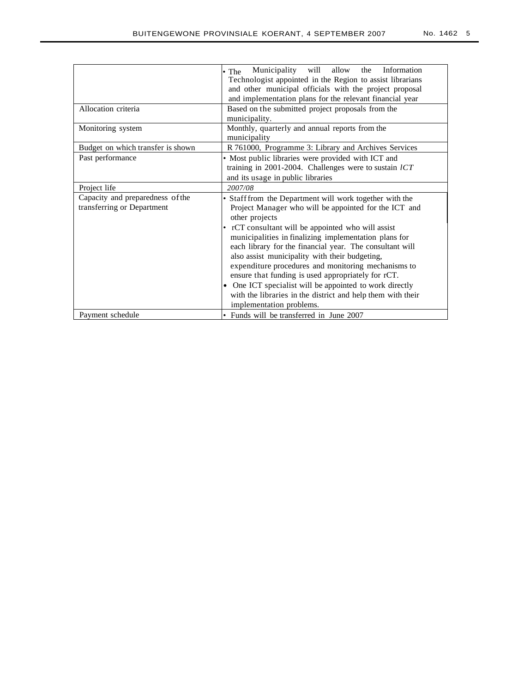| No. 1462 | ı<br>٠ |
|----------|--------|
|          |        |

|                                                                | Municipality<br>Information<br>will<br>allow<br>the<br>$\bullet$ The<br>Technologist appointed in the Region to assist librarians<br>and other municipal officials with the project proposal<br>and implementation plans for the relevant financial year                                                                                                                                                                                                       |  |  |  |  |  |  |  |  |
|----------------------------------------------------------------|----------------------------------------------------------------------------------------------------------------------------------------------------------------------------------------------------------------------------------------------------------------------------------------------------------------------------------------------------------------------------------------------------------------------------------------------------------------|--|--|--|--|--|--|--|--|
| Allocation criteria                                            | Based on the submitted project proposals from the<br>municipality.                                                                                                                                                                                                                                                                                                                                                                                             |  |  |  |  |  |  |  |  |
| Monitoring system                                              | Monthly, quarterly and annual reports from the<br>municipality                                                                                                                                                                                                                                                                                                                                                                                                 |  |  |  |  |  |  |  |  |
| Budget on which transfer is shown                              | R 761000, Programme 3: Library and Archives Services                                                                                                                                                                                                                                                                                                                                                                                                           |  |  |  |  |  |  |  |  |
| Past performance                                               | • Most public libraries were provided with ICT and<br>training in 2001-2004. Challenges were to sustain $lCT$<br>and its usage in public libraries                                                                                                                                                                                                                                                                                                             |  |  |  |  |  |  |  |  |
| Project life                                                   | 2007/08                                                                                                                                                                                                                                                                                                                                                                                                                                                        |  |  |  |  |  |  |  |  |
| Capacity and preparedness of the<br>transferring or Department | • Staff from the Department will work together with the<br>Project Manager who will be appointed for the ICT and<br>other projects                                                                                                                                                                                                                                                                                                                             |  |  |  |  |  |  |  |  |
|                                                                | • rCT consultant will be appointed who will assist<br>municipalities in finalizing implementation plans for<br>each library for the financial year. The consultant will<br>also assist municipality with their budgeting,<br>expenditure procedures and monitoring mechanisms to<br>ensure that funding is used appropriately for rCT.<br>One ICT specialist will be appointed to work directly<br>with the libraries in the district and help them with their |  |  |  |  |  |  |  |  |
|                                                                | implementation problems.                                                                                                                                                                                                                                                                                                                                                                                                                                       |  |  |  |  |  |  |  |  |
| Payment schedule                                               | • Funds will be transferred in June 2007                                                                                                                                                                                                                                                                                                                                                                                                                       |  |  |  |  |  |  |  |  |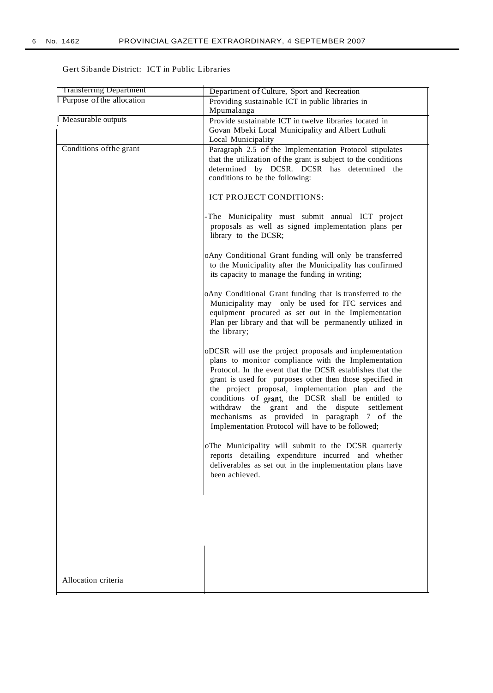### Gert Sibande District: ICT in Public Libraries

| <b>Transferring Department</b>   | Department of Culture, Sport and Recreation                                                                                                                                                                                                                                                                                                                                                                                                                                                              |
|----------------------------------|----------------------------------------------------------------------------------------------------------------------------------------------------------------------------------------------------------------------------------------------------------------------------------------------------------------------------------------------------------------------------------------------------------------------------------------------------------------------------------------------------------|
| <b>Purpose of the allocation</b> | Providing sustainable ICT in public libraries in                                                                                                                                                                                                                                                                                                                                                                                                                                                         |
|                                  | Mpumalanga                                                                                                                                                                                                                                                                                                                                                                                                                                                                                               |
| Measurable outputs               | Provide sustainable ICT in twelve libraries located in<br>Govan Mbeki Local Municipality and Albert Luthuli<br>Local Municipality                                                                                                                                                                                                                                                                                                                                                                        |
| Conditions of the grant          | Paragraph 2.5 of the Implementation Protocol stipulates<br>that the utilization of the grant is subject to the conditions<br>determined by DCSR. DCSR has determined the<br>conditions to be the following:                                                                                                                                                                                                                                                                                              |
|                                  | ICT PROJECT CONDITIONS:                                                                                                                                                                                                                                                                                                                                                                                                                                                                                  |
|                                  | The Municipality must submit annual ICT project<br>proposals as well as signed implementation plans per<br>library to the DCSR;                                                                                                                                                                                                                                                                                                                                                                          |
|                                  | oAny Conditional Grant funding will only be transferred<br>to the Municipality after the Municipality has confirmed<br>its capacity to manage the funding in writing;                                                                                                                                                                                                                                                                                                                                    |
|                                  | oAny Conditional Grant funding that is transferred to the<br>Municipality may only be used for ITC services and<br>equipment procured as set out in the Implementation<br>Plan per library and that will be permanently utilized in<br>the library;                                                                                                                                                                                                                                                      |
|                                  | oDCSR will use the project proposals and implementation<br>plans to monitor compliance with the Implementation<br>Protocol. In the event that the DCSR establishes that the<br>grant is used for purposes other then those specified in<br>the project proposal, implementation plan and the<br>conditions of grant, the DCSR shall be entitled to<br>withdraw the grant and the dispute settlement<br>mechanisms as provided in paragraph 7 of the<br>Implementation Protocol will have to be followed; |
|                                  | oThe Municipality will submit to the DCSR quarterly<br>reports detailing expenditure incurred and whether<br>deliverables as set out in the implementation plans have<br>been achieved.                                                                                                                                                                                                                                                                                                                  |
|                                  |                                                                                                                                                                                                                                                                                                                                                                                                                                                                                                          |
|                                  |                                                                                                                                                                                                                                                                                                                                                                                                                                                                                                          |
|                                  |                                                                                                                                                                                                                                                                                                                                                                                                                                                                                                          |
|                                  |                                                                                                                                                                                                                                                                                                                                                                                                                                                                                                          |
| Allocation criteria              |                                                                                                                                                                                                                                                                                                                                                                                                                                                                                                          |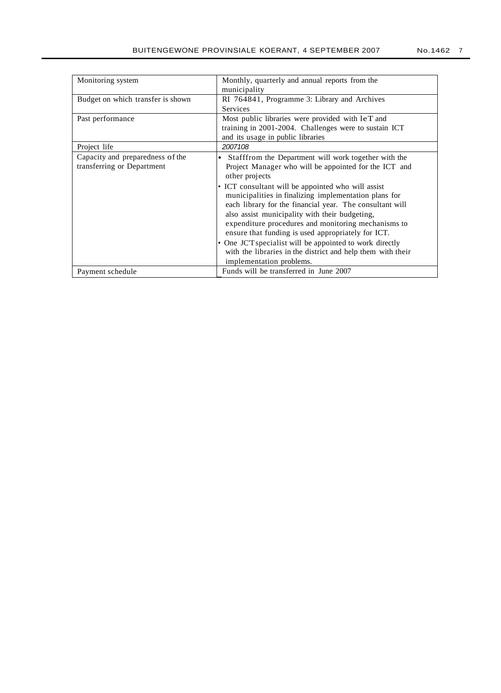| Monitoring system                 | Monthly, quarterly and annual reports from the                      |  |  |  |  |  |  |
|-----------------------------------|---------------------------------------------------------------------|--|--|--|--|--|--|
|                                   | municipality                                                        |  |  |  |  |  |  |
| Budget on which transfer is shown | RI 764841, Programme 3: Library and Archives                        |  |  |  |  |  |  |
|                                   | <b>Services</b>                                                     |  |  |  |  |  |  |
| Past performance                  | Most public libraries were provided with leT and                    |  |  |  |  |  |  |
|                                   | training in 2001-2004. Challenges were to sustain ICT               |  |  |  |  |  |  |
|                                   | and its usage in public libraries                                   |  |  |  |  |  |  |
| Project life                      | 2007108                                                             |  |  |  |  |  |  |
| Capacity and preparedness of the  | Stafffrom the Department will work together with the<br>٠           |  |  |  |  |  |  |
| transferring or Department        | Project Manager who will be appointed for the ICT and               |  |  |  |  |  |  |
|                                   | other projects                                                      |  |  |  |  |  |  |
|                                   | • ICT consultant will be appointed who will assist                  |  |  |  |  |  |  |
|                                   | municipalities in finalizing implementation plans for               |  |  |  |  |  |  |
|                                   | each library for the financial year. The consultant will            |  |  |  |  |  |  |
|                                   | also assist municipality with their budgeting,                      |  |  |  |  |  |  |
|                                   | expenditure procedures and monitoring mechanisms to                 |  |  |  |  |  |  |
|                                   | ensure that funding is used appropriately for ICT.                  |  |  |  |  |  |  |
|                                   | One JC'T specialist will be appointed to work directly<br>$\bullet$ |  |  |  |  |  |  |
|                                   | with the libraries in the district and help them with their         |  |  |  |  |  |  |
|                                   | implementation problems.                                            |  |  |  |  |  |  |
| Payment schedule                  | Funds will be transferred in June 2007                              |  |  |  |  |  |  |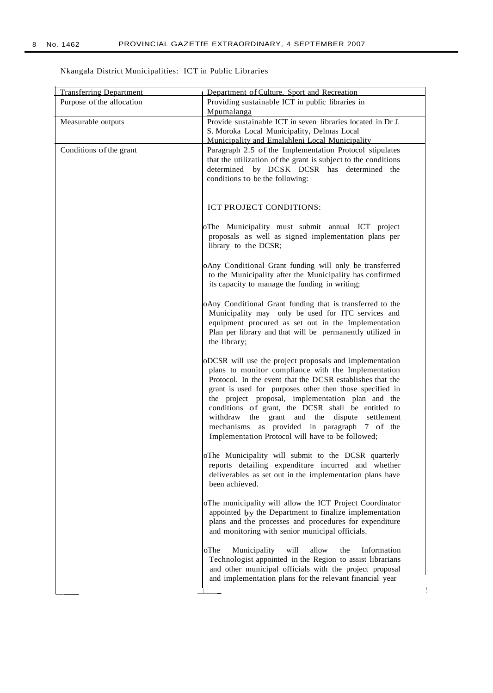## Nkangala District Municipalities: ICT in Public Libraries

| <b>Transferring Department</b> | Department of Culture, Sport and Recreation                                                                     |
|--------------------------------|-----------------------------------------------------------------------------------------------------------------|
| Purpose of the allocation      | Providing sustainable ICT in public libraries in                                                                |
|                                | Mpumalanga                                                                                                      |
| Measurable outputs             | Provide sustainable ICT in seven libraries located in Dr J.                                                     |
|                                | S. Moroka Local Municipality, Delmas Local                                                                      |
|                                | Municipality and Emalahleni Local Municipality                                                                  |
| Conditions of the grant        | Paragraph 2.5 of the Implementation Protocol stipulates                                                         |
|                                | that the utilization of the grant is subject to the conditions<br>determined by DCSK DCSR has determined the    |
|                                | conditions to be the following:                                                                                 |
|                                |                                                                                                                 |
|                                |                                                                                                                 |
|                                | ICT PROJECT CONDITIONS:                                                                                         |
|                                |                                                                                                                 |
|                                | oThe Municipality must submit annual ICT project                                                                |
|                                | proposals as well as signed implementation plans per                                                            |
|                                | library to the DCSR;                                                                                            |
|                                |                                                                                                                 |
|                                | oAny Conditional Grant funding will only be transferred                                                         |
|                                | to the Municipality after the Municipality has confirmed                                                        |
|                                | its capacity to manage the funding in writing;                                                                  |
|                                |                                                                                                                 |
|                                | oAny Conditional Grant funding that is transferred to the<br>Municipality may only be used for ITC services and |
|                                | equipment procured as set out in the Implementation                                                             |
|                                | Plan per library and that will be permanently utilized in                                                       |
|                                | the library;                                                                                                    |
|                                |                                                                                                                 |
|                                | oDCSR will use the project proposals and implementation                                                         |
|                                | plans to monitor compliance with the Implementation                                                             |
|                                | Protocol. In the event that the DCSR establishes that the                                                       |
|                                | grant is used for purposes other then those specified in                                                        |
|                                | the project proposal, implementation plan and the                                                               |
|                                | conditions of grant, the DCSR shall be entitled to<br>withdraw the grant and the dispute settlement             |
|                                | mechanisms as provided in paragraph 7 of the                                                                    |
|                                | Implementation Protocol will have to be followed;                                                               |
|                                |                                                                                                                 |
|                                | oThe Municipality will submit to the DCSR quarterly                                                             |
|                                | reports detailing expenditure incurred and whether                                                              |
|                                | deliverables as set out in the implementation plans have                                                        |
|                                | been achieved.                                                                                                  |
|                                |                                                                                                                 |
|                                | oThe municipality will allow the ICT Project Coordinator                                                        |
|                                | appointed by the Department to finalize implementation                                                          |
|                                | plans and the processes and procedures for expenditure<br>and monitoring with senior municipal officials.       |
|                                |                                                                                                                 |
|                                | oThe<br>Municipality<br>will<br>Information<br>allow<br>the                                                     |
|                                | Technologist appointed in the Region to assist librarians                                                       |
|                                | and other municipal officials with the project proposal                                                         |
|                                | and implementation plans for the relevant financial year                                                        |
|                                |                                                                                                                 |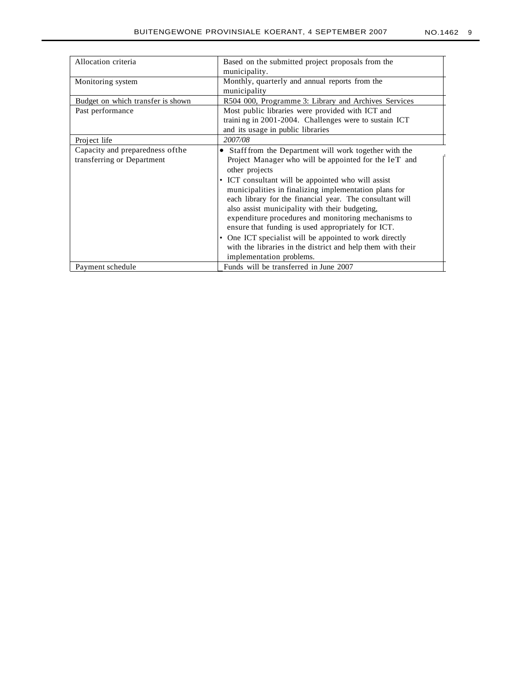| Allocation criteria               | Based on the submitted project proposals from the<br>municipality.                         |  |  |  |  |  |  |  |
|-----------------------------------|--------------------------------------------------------------------------------------------|--|--|--|--|--|--|--|
| Monitoring system                 | Monthly, quarterly and annual reports from the<br>municipality                             |  |  |  |  |  |  |  |
| Budget on which transfer is shown | R504 000, Programme 3: Library and Archives Services                                       |  |  |  |  |  |  |  |
| Past performance                  | Most public libraries were provided with ICT and                                           |  |  |  |  |  |  |  |
|                                   | training in 2001-2004. Challenges were to sustain ICT<br>and its usage in public libraries |  |  |  |  |  |  |  |
| Project life                      | 2007/08                                                                                    |  |  |  |  |  |  |  |
| Capacity and preparedness of the  | Staff from the Department will work together with the                                      |  |  |  |  |  |  |  |
| transferring or Department        | Project Manager who will be appointed for the leT and                                      |  |  |  |  |  |  |  |
|                                   | other projects                                                                             |  |  |  |  |  |  |  |
|                                   | • ICT consultant will be appointed who will assist                                         |  |  |  |  |  |  |  |
|                                   | municipalities in finalizing implementation plans for                                      |  |  |  |  |  |  |  |
|                                   | each library for the financial year. The consultant will                                   |  |  |  |  |  |  |  |
|                                   | also assist municipality with their budgeting,                                             |  |  |  |  |  |  |  |
|                                   | expenditure procedures and monitoring mechanisms to                                        |  |  |  |  |  |  |  |
|                                   | ensure that funding is used appropriately for ICT.                                         |  |  |  |  |  |  |  |
|                                   | • One ICT specialist will be appointed to work directly                                    |  |  |  |  |  |  |  |
|                                   | with the libraries in the district and help them with their                                |  |  |  |  |  |  |  |
|                                   | implementation problems.                                                                   |  |  |  |  |  |  |  |
| Payment schedule                  | Funds will be transferred in June 2007                                                     |  |  |  |  |  |  |  |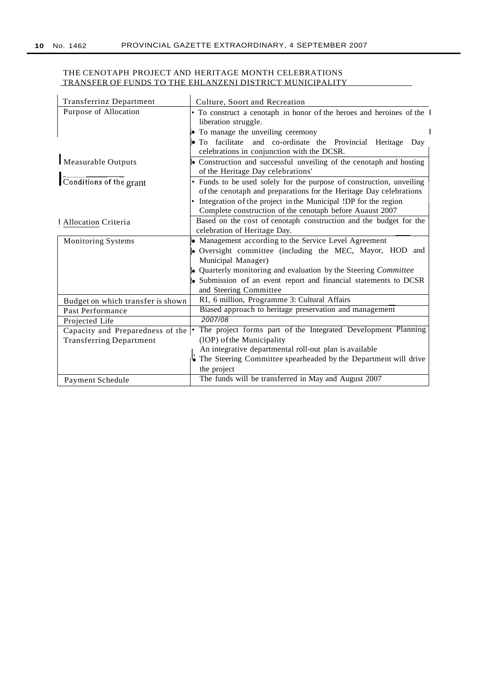### THE CENOTAPH PROJECT AND HERITAGE MONTH CELEBRATIONS TRANSFER OF FUNDS TO THE EHLANZENI DISTRICT MUNICIPALITY

| <b>Transferrinz Department</b>    | Culture, Soort and Recreation                                                       |  |  |  |  |  |  |  |
|-----------------------------------|-------------------------------------------------------------------------------------|--|--|--|--|--|--|--|
| Purpose of Allocation             | • To construct a cenotaph in honor of the heroes and heroines of the I              |  |  |  |  |  |  |  |
|                                   | liberation struggle.                                                                |  |  |  |  |  |  |  |
|                                   | $\blacktriangleright$ To manage the unveiling ceremony                              |  |  |  |  |  |  |  |
|                                   | • To facilitate and co-ordinate the Provincial Heritage Day                         |  |  |  |  |  |  |  |
|                                   | celebrations in conjunction with the DCSR.                                          |  |  |  |  |  |  |  |
| Measurable Outputs                | • Construction and successful unveiling of the cenotaph and hosting                 |  |  |  |  |  |  |  |
|                                   | of the Heritage Day celebrations'                                                   |  |  |  |  |  |  |  |
| Conditions of the grant           | • Funds to be used solely for the purpose of construction, unveiling                |  |  |  |  |  |  |  |
|                                   | of the cenotaph and preparations for the Heritage Day celebrations                  |  |  |  |  |  |  |  |
|                                   | • Integration of the project in the Municipal !DP for the region                    |  |  |  |  |  |  |  |
|                                   | Complete construction of the cenotaph before Auaust 2007                            |  |  |  |  |  |  |  |
| Allocation Criteria               | Based on the cost of cenotaph construction and the budget for the                   |  |  |  |  |  |  |  |
|                                   | celebration of Heritage Day.                                                        |  |  |  |  |  |  |  |
| Monitoring Systems                | • Management according to the Service Level Agreement                               |  |  |  |  |  |  |  |
|                                   | • Oversight committee (including the MEC, Mayor, HOD and                            |  |  |  |  |  |  |  |
|                                   | Municipal Manager)                                                                  |  |  |  |  |  |  |  |
|                                   | • Quarterly monitoring and evaluation by the Steering Committee                     |  |  |  |  |  |  |  |
|                                   | • Submission of an event report and financial statements to DCSR                    |  |  |  |  |  |  |  |
|                                   | and Steering Committee                                                              |  |  |  |  |  |  |  |
| Budget on which transfer is shown | RI, 6 million, Programme 3: Cultural Affairs                                        |  |  |  |  |  |  |  |
| Past Performance                  | Biased approach to heritage preservation and management                             |  |  |  |  |  |  |  |
| Projected Life                    | 2007/08                                                                             |  |  |  |  |  |  |  |
| Capacity and Preparedness of the  | The project forms part of the Integrated Development Planning                       |  |  |  |  |  |  |  |
| <b>Transferring Department</b>    | (10P) of the Municipality<br>An integrative departmental roll-out plan is available |  |  |  |  |  |  |  |
|                                   | The Steering Committee spearheaded by the Department will drive                     |  |  |  |  |  |  |  |
|                                   | the project                                                                         |  |  |  |  |  |  |  |
|                                   | The funds will be transferred in May and August 2007                                |  |  |  |  |  |  |  |
| Payment Schedule                  |                                                                                     |  |  |  |  |  |  |  |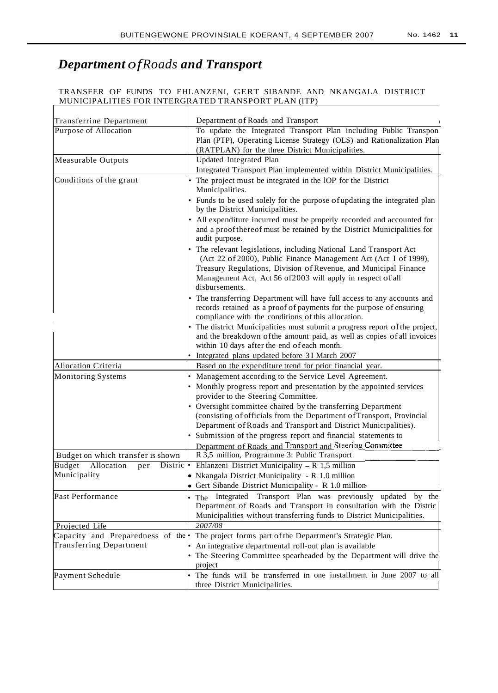# *Department ofRoads and Transport*

 $\overline{\phantom{a}}$ 

#### TRANSFER OF FUNDS TO EHLANZENI, GERT SIBANDE AND NKANGALA DISTRICT MUNICIPALITIES FOR INTERGRATED TRANSPORT PLAN (lTP)

| <b>Transferrine Department</b>    | Department of Roads and Transport                                                                                                                                                                                                                                                           |  |  |  |  |
|-----------------------------------|---------------------------------------------------------------------------------------------------------------------------------------------------------------------------------------------------------------------------------------------------------------------------------------------|--|--|--|--|
| Purpose of Allocation             | To update the Integrated Transport Plan including Public Transpon                                                                                                                                                                                                                           |  |  |  |  |
|                                   | Plan (PTP), Operating License Strategy (OLS) and Rationalization Plan                                                                                                                                                                                                                       |  |  |  |  |
|                                   | (RATPLAN) for the three District Municipalities.                                                                                                                                                                                                                                            |  |  |  |  |
| Measurable Outputs                | Updated Integrated Plan                                                                                                                                                                                                                                                                     |  |  |  |  |
|                                   | Integrated Transport Plan implemented within District Municipalities.                                                                                                                                                                                                                       |  |  |  |  |
| Conditions of the grant           | • The project must be integrated in the IOP for the District<br>Municipalities.                                                                                                                                                                                                             |  |  |  |  |
|                                   | • Funds to be used solely for the purpose of updating the integrated plan<br>by the District Municipalities.                                                                                                                                                                                |  |  |  |  |
|                                   | • All expenditure incurred must be properly recorded and accounted for<br>and a proof thereof must be retained by the District Municipalities for<br>audit purpose.                                                                                                                         |  |  |  |  |
|                                   | • The relevant legislations, including National Land Transport Act<br>(Act 22 of 2000), Public Finance Management Act (Act I of 1999),<br>Treasury Regulations, Division of Revenue, and Municipal Finance<br>Management Act, Act 56 of 2003 will apply in respect of all<br>disbursements. |  |  |  |  |
|                                   | • The transferring Department will have full access to any accounts and<br>records retained as a proof of payments for the purpose of ensuring<br>compliance with the conditions of this allocation.                                                                                        |  |  |  |  |
|                                   | • The district Municipalities must submit a progress report of the project,<br>and the breakdown of the amount paid, as well as copies of all invoices<br>within 10 days after the end of each month.                                                                                       |  |  |  |  |
|                                   | • Integrated plans updated before 3I March 2007                                                                                                                                                                                                                                             |  |  |  |  |
| Allocation Criteria               | Based on the expenditure trend for prior financial year.                                                                                                                                                                                                                                    |  |  |  |  |
| Monitoring Systems                | Management according to the Service Level Agreement.<br>• Monthly progress report and presentation by the appointed services<br>provider to the Steering Committee.                                                                                                                         |  |  |  |  |
|                                   | • Oversight committee chaired by the transferring Department<br>(consisting of officials from the Department of Transport, Provincial<br>Department of Roads and Transport and District Municipalities).                                                                                    |  |  |  |  |
|                                   | • Submission of the progress report and financial statements to                                                                                                                                                                                                                             |  |  |  |  |
| Budget on which transfer is shown | Department of Roads and Transport and Steering Committee<br>R 3,5 million, Programme 3: Public Transport                                                                                                                                                                                    |  |  |  |  |
| Budget<br>Allocation<br>per       | Distric • Ehlanzeni District Municipality – R 1,5 million                                                                                                                                                                                                                                   |  |  |  |  |
| Municipality                      | • Nkangala District Municipality - R 1.0 million                                                                                                                                                                                                                                            |  |  |  |  |
|                                   | • Gert Sibande District Municipality - R 1.0 million                                                                                                                                                                                                                                        |  |  |  |  |
| Past Performance                  | . The Integrated Transport Plan was previously<br>updated by the<br>Department of Roads and Transport in consultation with the Distric<br>Municipalities without transferring funds to District Municipalities.                                                                             |  |  |  |  |
| Projected Life                    | 2007/08                                                                                                                                                                                                                                                                                     |  |  |  |  |
|                                   | Capacity and Preparedness of the • The project forms part of the Department's Strategic Plan.                                                                                                                                                                                               |  |  |  |  |
| <b>Transferring Department</b>    | • An integrative departmental roll-out plan is available                                                                                                                                                                                                                                    |  |  |  |  |
|                                   | • The Steering Committee spearheaded by the Department will drive the<br>project                                                                                                                                                                                                            |  |  |  |  |
| Payment Schedule                  | • The funds will be transferred in one installment in June 2007 to all<br>three District Municipalities.                                                                                                                                                                                    |  |  |  |  |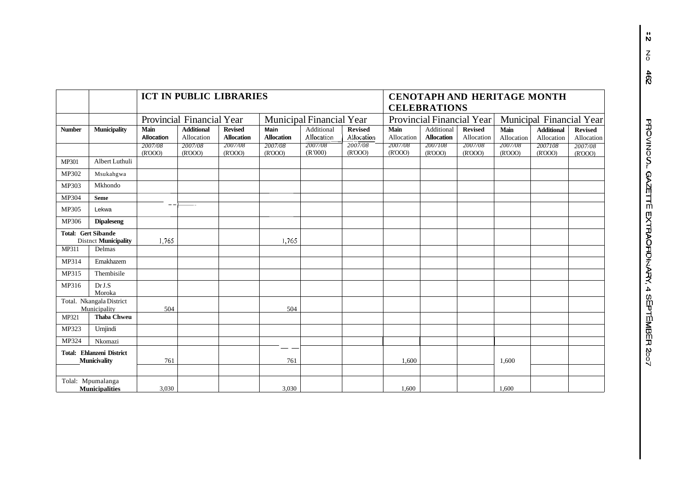|               |                                                           | <b>ICT IN PUBLIC LIBRARIES</b><br><b>CENOTAPH AND HERITAGE MONTH</b><br><b>CELEBRATIONS</b> |                                 |                                     |                           |                                 |                              |                    |                                 |                              |                    |                                 |                              |
|---------------|-----------------------------------------------------------|---------------------------------------------------------------------------------------------|---------------------------------|-------------------------------------|---------------------------|---------------------------------|------------------------------|--------------------|---------------------------------|------------------------------|--------------------|---------------------------------|------------------------------|
|               |                                                           |                                                                                             | Provincial Financial Year       |                                     |                           | <b>Municipal Financial Year</b> |                              |                    | Provincial Financial Year       |                              |                    | Municipal Financial Year        |                              |
| <b>Number</b> | <b>Municipality</b>                                       | Main<br>Allocation                                                                          | <b>Additional</b><br>Allocation | <b>Revised</b><br><b>Allocation</b> | Main<br><b>Allocation</b> | Additional<br>Allocation        | <b>Revised</b><br>Allocation | Main<br>Allocation | Additional<br><b>Allocation</b> | <b>Revised</b><br>Allocation | Main<br>Allocation | <b>Additional</b><br>Allocation | <b>Revised</b><br>Allocation |
|               |                                                           | 2007/08<br>(R'OOO)                                                                          | 2007/08<br>(R'OOO)              | 2007/08<br>(R'OOO)                  | 2007/08<br>(R'OOO)        | 2007/08<br>(R'000)              | 2007/08<br>(R'OOO)           | 2007/08<br>(R'OOO) | 2007108<br>(R'OOO)              | 2007/08<br>(R'OOO)           | 2007/08<br>(R'OOO) | 2007108<br>(R'OOO)              | 2007/08<br>(R'OOO)           |
| <b>MP301</b>  | Albert Luthuli                                            |                                                                                             |                                 |                                     |                           |                                 |                              |                    |                                 |                              |                    |                                 |                              |
| MP302         | Msukahgwa                                                 |                                                                                             |                                 |                                     |                           |                                 |                              |                    |                                 |                              |                    |                                 |                              |
| MP303         | Mkhondo                                                   |                                                                                             |                                 |                                     |                           |                                 |                              |                    |                                 |                              |                    |                                 |                              |
| MP304         | <b>Seme</b>                                               |                                                                                             |                                 |                                     |                           |                                 |                              |                    |                                 |                              |                    |                                 |                              |
| MP305         | Lekwa                                                     |                                                                                             |                                 |                                     |                           |                                 |                              |                    |                                 |                              |                    |                                 |                              |
| MP306         | <b>Dipaleseng</b>                                         |                                                                                             |                                 |                                     |                           |                                 |                              |                    |                                 |                              |                    |                                 |                              |
|               | <b>Total: Gert Sibande</b><br><b>Distnct Municipality</b> | 1.765                                                                                       |                                 |                                     | 1,765                     |                                 |                              |                    |                                 |                              |                    |                                 |                              |
| <b>MP311</b>  | Delmas                                                    |                                                                                             |                                 |                                     |                           |                                 |                              |                    |                                 |                              |                    |                                 |                              |
| MP314         | Emakhazem                                                 |                                                                                             |                                 |                                     |                           |                                 |                              |                    |                                 |                              |                    |                                 |                              |
| MP315         | Thembisile                                                |                                                                                             |                                 |                                     |                           |                                 |                              |                    |                                 |                              |                    |                                 |                              |
| MP316         | Dr J.S<br>Moroka                                          |                                                                                             |                                 |                                     |                           |                                 |                              |                    |                                 |                              |                    |                                 |                              |
|               | Total. Nkangala District<br>Municipality                  | 504                                                                                         |                                 |                                     | 504                       |                                 |                              |                    |                                 |                              |                    |                                 |                              |
| MP321         | <b>Thaba Chweu</b>                                        |                                                                                             |                                 |                                     |                           |                                 |                              |                    |                                 |                              |                    |                                 |                              |
| MP323         | Urnjindi                                                  |                                                                                             |                                 |                                     |                           |                                 |                              |                    |                                 |                              |                    |                                 |                              |
| MP324         | Nkomazi                                                   |                                                                                             |                                 |                                     |                           |                                 |                              |                    |                                 |                              |                    |                                 |                              |
|               | <b>Total: Ehlanzeni District</b><br>Municivality          | 761                                                                                         |                                 |                                     | 761                       |                                 |                              | 1,600              |                                 |                              | 1,600              |                                 |                              |
|               |                                                           |                                                                                             |                                 |                                     |                           |                                 |                              |                    |                                 |                              |                    |                                 |                              |
|               | Tolal: Mpumalanga<br><b>Municipalities</b>                | 3.030                                                                                       |                                 |                                     | 3.030                     |                                 |                              | 1.600              |                                 |                              | 1.600              |                                 |                              |